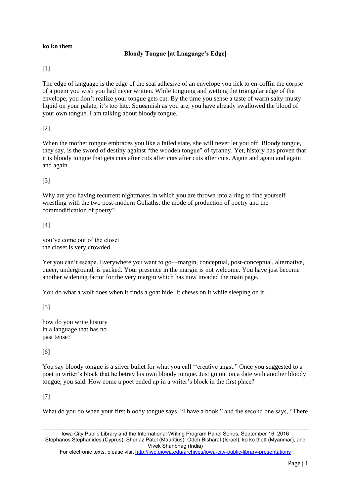#### **ko ko thett**

## **Bloody Tongue [at Language's Edge]**

## [1]

The edge of language is the edge of the seal adhesive of an envelope you lick to en-coffin the corpse of a poem you wish you had never written. While tonguing and wetting the triangular edge of the envelope, you don't realize your tongue gets cut. By the time you sense a taste of warm salty-musty liquid on your palate, it's too late. Squeamish as you are, you have already swallowed the blood of your own tongue. I am talking about bloody tongue.

# [2]

When the mother tongue embraces you like a failed state, she will never let you off. Bloody tongue, they say, is the sword of destiny against "the wooden tongue" of tyranny. Yet, history has proven that it is bloody tongue that gets cuts after cuts after cuts after cuts after cuts. Again and again and again and again.

## [3]

Why are you having recurrent nightmares in which you are thrown into a ring to find yourself wrestling with the two post-modern Goliaths: the mode of production of poetry and the commodification of poetry?

## [4]

you've come out of the closet the closet is very crowded

Yet you can't escape. Everywhere you want to go—margin, conceptual, post-conceptual, alternative, queer, underground, is packed. Your presence in the margin is not welcome. You have just become another widening factor for the very margin which has now invaded the main page.

You do what a wolf does when it finds a goat hide. It chews on it while sleeping on it.

[5]

how do you write history in a language that has no past tense?

[6]

You say bloody tongue is a silver bullet for what you call ''creative angst." Once you suggested to a poet in writer's block that he betray his own bloody tongue. Just go out on a date with another bloody tongue, you said. How come a poet ended up in a writer's block in the first place?

## [7]

What do you do when your first bloody tongue says, "I have a book," and the second one says, "There

Iowa City Public Library and the International Writing Program Panel Series, September 16, 2016 Stephanos Stephanides (Cyprus), Shenaz Patel (Mauritius), Odeh Bisharat (Israel), ko ko thett (Myanmar), and Vivek Shanbhag (India)

For electronic texts, please visit <http://iwp.uiowa.edu/archives/iowa-city-public-library-presentations>